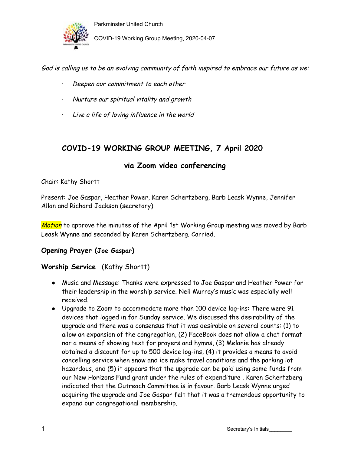

Parkminster United Church COVID-19 Working Group Meeting, 2020-04-07

God is calling us to be an evolving community of faith inspired to embrace our future as we:

- Deepen our commitment to each other
- · Nurture our spiritual vitality and growth
- · Live <sup>a</sup> life of loving influence in the world

# **COVID-19 WORKING GROUP MEETING, 7 April 2020**

### **via Zoom video conferencing**

#### Chair: Kathy Shortt

Present: Joe Gaspar, Heather Power, Karen Schertzberg, Barb Leask Wynne, Jennifer Allan and Richard Jackson (secretary)

Motion to approve the minutes of the April 1st Working Group meeting was moved by Barb Leask Wynne and seconded by Karen Schertzberg. Carried.

#### **Opening Prayer (Joe Gaspar)**

### **Worship Service** (Kathy Shortt)

- Music and Message: Thanks were expressed to Joe Gaspar and Heather Power for their leadership in the worship service. Neil Murray's music was especially well received.
- Upgrade to Zoom to accommodate more than 100 device log-ins: There were 91 devices that logged in for Sunday service. We discussed the desirability of the upgrade and there was a consensus that it was desirable on several counts: (1) to allow an expansion of the congregation, (2) FaceBook does not allow a chat format nor a means of showing text for prayers and hymns, (3) Melanie has already obtained a discount for up to 500 device log-ins, (4) it provides a means to avoid cancelling service when snow and ice make travel conditions and the parking lot hazardous, and (5) it appears that the upgrade can be paid using some funds from our New Horizons Fund grant under the rules of expenditure . Karen Schertzberg indicated that the Outreach Committee is in favour. Barb Leask Wynne urged acquiring the upgrade and Joe Gaspar felt that it was a tremendous opportunity to expand our congregational membership.